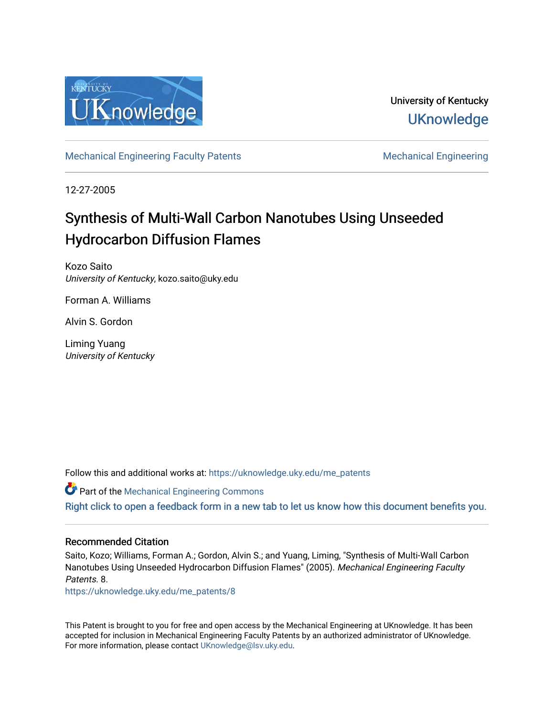

University of Kentucky **UKnowledge** 

[Mechanical Engineering Faculty Patents](https://uknowledge.uky.edu/me_patents) [Mechanical Engineering](https://uknowledge.uky.edu/me) Mechanical Engineering

12-27-2005

# Synthesis of Multi-Wall Carbon Nanotubes Using Unseeded Hydrocarbon Diffusion Flames

Kozo Saito University of Kentucky, kozo.saito@uky.edu

Forman A. Williams

Alvin S. Gordon

Liming Yuang University of Kentucky

Follow this and additional works at: [https://uknowledge.uky.edu/me\\_patents](https://uknowledge.uky.edu/me_patents?utm_source=uknowledge.uky.edu%2Fme_patents%2F8&utm_medium=PDF&utm_campaign=PDFCoverPages) 

Part of the [Mechanical Engineering Commons](http://network.bepress.com/hgg/discipline/293?utm_source=uknowledge.uky.edu%2Fme_patents%2F8&utm_medium=PDF&utm_campaign=PDFCoverPages)  [Right click to open a feedback form in a new tab to let us know how this document benefits you.](https://uky.az1.qualtrics.com/jfe/form/SV_9mq8fx2GnONRfz7)

# Recommended Citation

Saito, Kozo; Williams, Forman A.; Gordon, Alvin S.; and Yuang, Liming, "Synthesis of Multi-Wall Carbon Nanotubes Using Unseeded Hydrocarbon Diffusion Flames" (2005). Mechanical Engineering Faculty Patents. 8.

[https://uknowledge.uky.edu/me\\_patents/8](https://uknowledge.uky.edu/me_patents/8?utm_source=uknowledge.uky.edu%2Fme_patents%2F8&utm_medium=PDF&utm_campaign=PDFCoverPages)

This Patent is brought to you for free and open access by the Mechanical Engineering at UKnowledge. It has been accepted for inclusion in Mechanical Engineering Faculty Patents by an authorized administrator of UKnowledge. For more information, please contact [UKnowledge@lsv.uky.edu.](mailto:UKnowledge@lsv.uky.edu)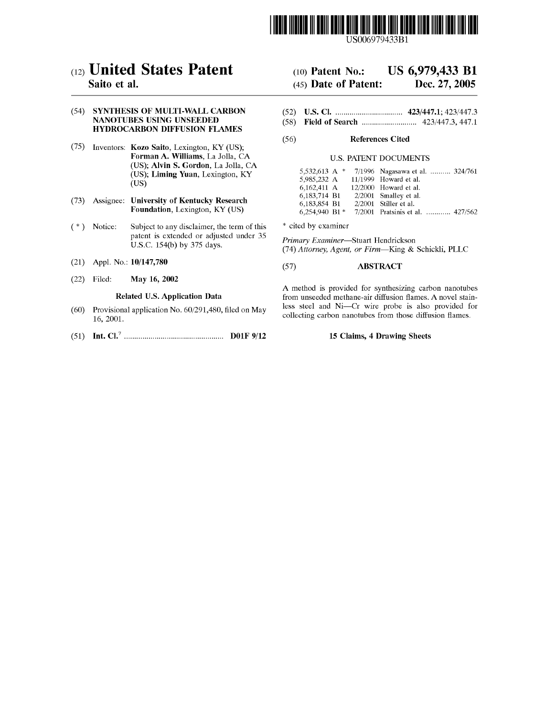

US006979433B1

# (12) **United States Patent** (10) Patent No.: US 6,979,433 B1 Saito et al. (45) Date of Patent: Dec. 27, 2005

# (54) SYNTHESIS OF MULTI-WALL CARBON (52) US. Cl. ............................... .. 423/4471; 423/4473 HYDROCARBON DIFFUSION FLAMES

- (75) Inventors: KOZ0 Saito, Lexington, KY (US); Forman A. Williams, La Jolla, CA U.S. PATENT DOCUMENTS (US); Alvin S. Gordon, La Jolla, CA (US); Liming Yuan, Lexington, KY (US)
- (73) Assignee: University of Kentucky Research Foundation, Lexington, KY (US)
- $(*)$  Notice: Subject to any disclaimer, the term of this  $*$  cited by examiner patent is extended or adjusted under 35 patent is extended or adjusted under 35<br>U.S.C. 154(b) by 375 days.<br> $(74)$  Attenuary Agent an Filmu.  $V_{\text{max}}^2$  by  $\frac{6}{5}$
- 
- (22) Filed: May 16, 2002

- (60) Provisional application No.  $60/291,480$ , filed on May 16, 2001.  $16, 2001$ .  $16, 2001$ .
- (51) Int. Cl.7 ............................................... .. D01F 9/12 15 Claims, 4 Drawing Sheets

# $(45)$  Date of Patent:

- 
- NANOTUBES USING UNSEEDED (58) Field Of Search ......................... .. 423/447.3, 447.1
- (56) References Cited

| (US); Liming Yuan, Lexington, KY      |                                    | 5,532,613 A * 7/1996 Nagasawa et al.  324/761 |
|---------------------------------------|------------------------------------|-----------------------------------------------|
| (US)                                  | 5,985,232 A 11/1999 Howard et al.  |                                               |
|                                       | 6.162.411 A                        | $12/2000$ Howard et al.                       |
| University of Kentucky Research       | 6,183,714 B1 2/2001 Smalley et al. |                                               |
|                                       | 6.183.854 B1                       | 2/2001 Stiller et al.                         |
| <b>Foundation, Lexington, KY (US)</b> | 6,254,940 B1 *                     | 7/2001 Pratsinis et al.  427/562              |

(74) Attorney, Agent, or Firm—King & Schickli, PLLC

# (21) Appl. No.: 10/147,780 (57) ABSTRACT

A method is provided for synthesizing carbon nanotubes Related U.S. Application Data from unseeded methane-air diffusion flames. A novel stain-<br>ional application No. 60/201.480, filed on Max less steel and Ni—Cr wire probe is also provided for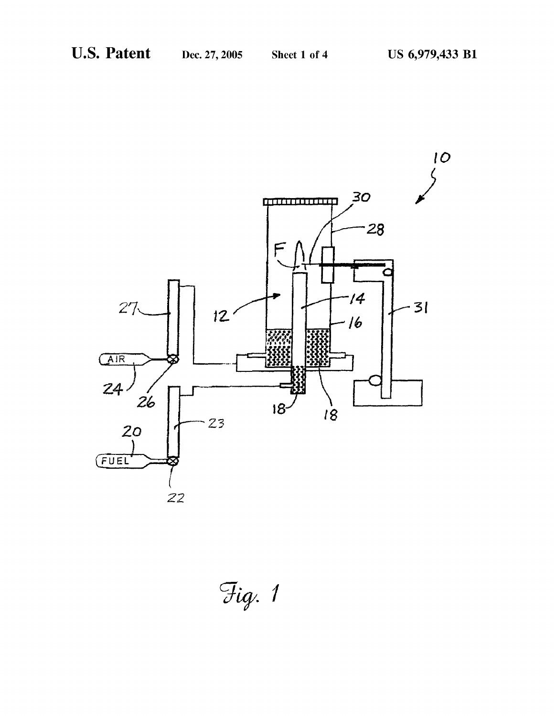

Fig. 1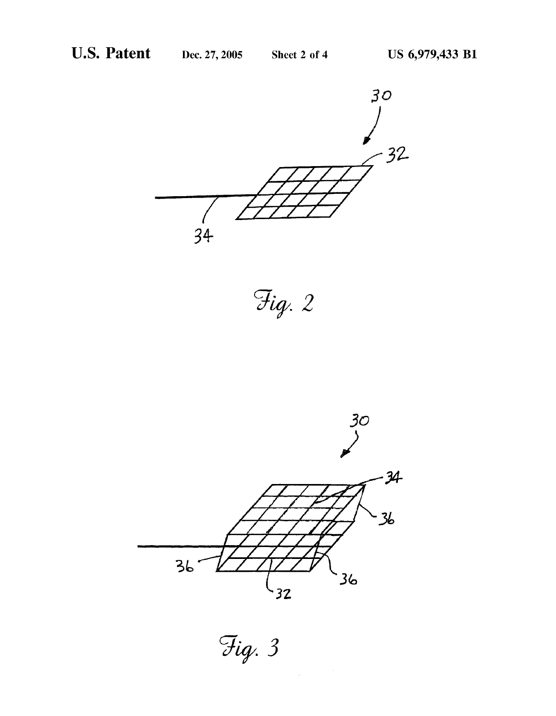

 $\Im$ ig. 2



Fig. 3

 $\label{eq:2.1} \frac{1}{\sqrt{2\pi}}\int_{0}^{\infty}\frac{1}{\sqrt{2\pi}}\left(\frac{1}{\sqrt{2\pi}}\right)^{2}d\theta.$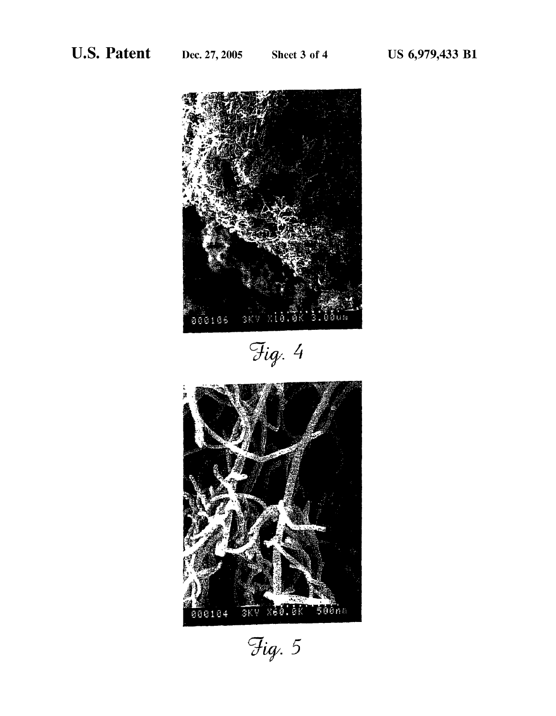

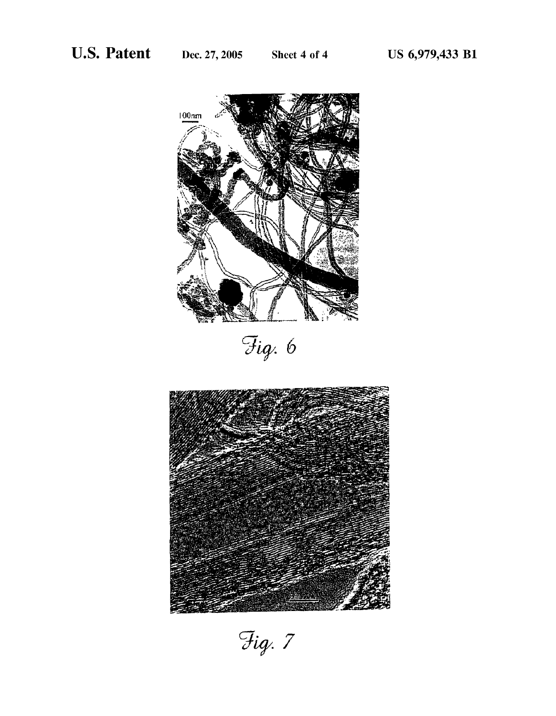

Fig. 6



Fig. 7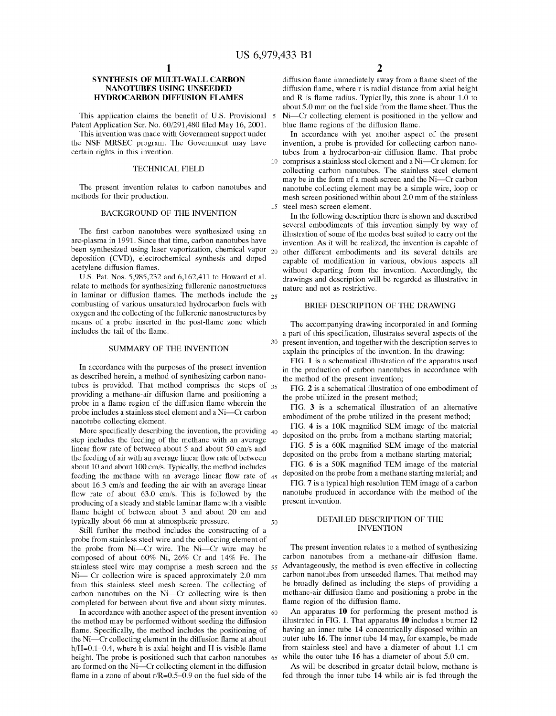# SYNTHESIS OF MULTI-WALL CARBON NANOTUBES USING UNSEEDED HYDROCARBON DIFFUSION FLAMES

This application claims the benefit of U.S. Provisional 5 Patent Application Ser. No. 60/291,480 filed May 16, 2001.

This invention Was made With Government support under the NSF MRSEC program. The Government may have certain rights in this invention.

### TECHNICAL FIELD

The present invention relates to carbon nanotubes and methods for their production.

## BACKGROUND OF THE INVENTION

The first carbon nanotubes were synthesized using an arc-plasma in 1991. Since that time, carbon nanotubes have been synthesized using laser vaporization, chemical vapor  $_{20}$ deposition (CVD), electrochemical synthesis and doped acetylene diffusion flames.

US. Pat. Nos. 5,985,232 and 6,162,411 to HoWard et al. relate to methods for synthesizing fullerenic nanostructures in laminar or diffusion flames. The methods include the  $_{25}$ combusting of various unsaturated hydrocarbon fuels With oXygen and the collecting of the fullerenic nanostructures by means of a probe inserted in the post-flame zone which includes the tail of the flame.

### SUMMARY OF THE INVENTION

In accordance With the purposes of the present invention as described herein, a method of synthesizing carbon nanotubes is provided. That method comprises the steps of  $35$ providing a methane-air diffusion flame and positioning a probe in a flame region of the diffusion flame wherein the probe includes a stainless steel element and a Ni—Cr carbon nanotube collecting element.

More specifically describing the invention, the providing  $_{40}$ step includes the feeding of the methane With an average linear flow rate of between about 5 and about 50 cm/s and the feeding of air with an average linear flow rate of between about 10 and about 100 cm/s. Typically, the method includes feeding the methane with an average linear flow rate of  $45$ about 16.3 cm/s and feeding the air With an average linear flow rate of about  $63.0 \text{ cm/s}$ . This is followed by the producing of a steady and stable laminar flame with a visible flame height of between about 3 and about 20 cm and typically about 66 mm at atmospheric pressure. 50

Still further the method includes the constructing of a probe from stainless steel Wire and the collecting element of the probe from Ni—Cr Wire. The Ni—Cr Wire may be composed of about 60% Ni, 26% Cr and 14% Fe. The stainless steel Wire may comprise a mesh screen and the 55 Ni— Cr collection wire is spaced approximately 2.0 mm from this stainless steel mesh screen. The collecting of carbon nanotubes on the Ni—Cr collecting Wire is then completed for between about five and about sixty minutes.

In accordance With another aspect of the present invention 60 the method may be performed Without seeding the diffusion flame. Specifically, the method includes the positioning of the Ni—Cr collecting element in the diffusion flame at about  $h/H=0.1-0.4$ , where h is axial height and H is visible flame are formed on the Ni—Cr collecting element in the diffusion flame in a zone of about  $r/R = 0.5-0.9$  on the fuel side of the height. The probe is positioned such that carbon nanotubes 65

diffusion flame immediately away from a flame sheet of the diffusion flame, where r is radial distance from axial height and  $R$  is flame radius. Typically, this zone is about 1.0 to about 5.0 mm on the fuel side from the flame sheet. Thus the Ni—Cr collecting element is positioned in the yellow and blue flame regions of the diffusion flame.

10 comprises a stainless steel element and a Ni—Cr element for 15 steel mesh screen element. In accordance With yet another aspect of the present invention, a probe is provided for collecting carbon nano tubes from a hydrocarbon-air diffusion flame. That probe collecting carbon nanotubes. The stainless steel element may be in the form of a mesh screen and the Ni—Cr carbon nanotube collecting element may be a simple Wire, loop or mesh screen positioned Within about 2.0 mm of the stainless

In the folloWing description there is shoWn and described several embodiments of this invention simply by Way of illustration of some of the modes best suited to carry out the invention. As it will be realized, the invention is capable of other different embodiments and its several details are capable of modification in various, obvious aspects all without departing from the invention. Accordingly, the draWings and description Will be regarded as illustrative in nature and not as restrictive.

### BRIEF DESCRIPTION OF THE DRAWING

30 present invention, and together With the description serves to The accompanying drawing incorporated in and forming a part of this specification, illustrates several aspects of the explain the principles of the invention. In the drawing:

FIG. 1 is a schematical illustration of the apparatus used in the production of carbon nanotubes in accordance With the method of the present invention;

FIG. 2 is a schematical illustration of one embodiment of the probe utilized in the present method;

FIG. 3 is a schematical illustration of an alternative embodiment of the probe utilized in the present method;

FIG. 4 is a 10K magnified SEM image of the material deposited on the probe from a methane starting material;

FIG. 5 is a 60K magnified SEM image of the material deposited on the probe from a methane starting material;

FIG. 6 is a 50K magnified TEM image of the material deposited on the probe from a methane starting material; and

FIG. 7 is a typical high resolution TEM image of a carbon nanotube produced in accordance With the method of the present invention.

# DETAILED DESCRIPTION OF THE INVENTION

The present invention relates to a method of synthesizing carbon nanotubes from a methane-air diffusion flame. Advantageously, the method is even effective in collecting carbon nanotubes from unseeded flames. That method may be broadly defined as including the steps of providing a methane-air diffusion flame and positioning a probe in the flame region of the diffusion flame.

An apparatus 10 for performing the present method is illustrated in FIG. 1. That apparatus 10 includes a burner 12 having an inner tube 14 concentrically disposed Within an outer tube 16. The inner tube 14 may, for example, be made from stainless steel and have a diameter of about 1.1 cm while the outer tube 16 has a diameter of about 5.0 cm.

As Will be described in greater detail beloW, methane is fed through the inner tube 14 While air is fed through the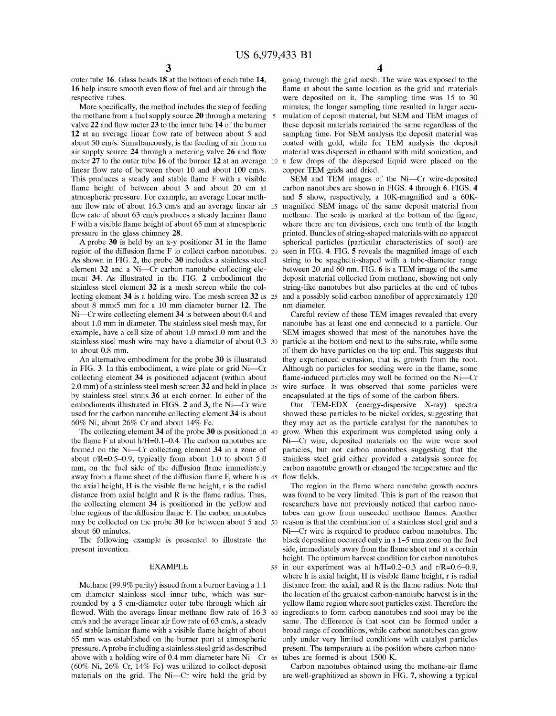55

outer tube 16. Glass beads 18 at the bottom of each tube 14, 16 help insure smooth even flow of fuel and air through the respective tubes.

More specifically, the method includes the step of feeding the methane from a fuel supply source 20 through a metering 5 valve  $22$  and flow meter  $23$  to the inner tube 14 of the burner 12 at an average linear flow rate of between about 5 and about 50 cm/s. Simultaneously, is the feeding of air from an air supply source  $24$  through a metering valve  $26$  and flow meter 27 to the outer tube 16 of the burner 12 at an average 10 linear flow rate of between about 10 and about 100 cm/s. This produces a steady and stable flame  $F$  with a visible flame height of between about 3 and about 20 cm at atmospheric pressure. For example, an average linear meth ane flow rate of about  $16.3$  cm/s and an average linear air  $15$ flow rate of about 63 cm/s produces a steady laminar flame F with a visible flame height of about 65 mm at atmospheric pressure in the glass chimney 28.

A probe  $30$  is held by an x-y positioner  $31$  in the flame region of the diffusion flame F to collect carbon nanotubes. 20 As shoWn in FIG. 2, the probe 30 includes a stainless steel element 32 and a Ni—Cr carbon nanotube collecting ele ment 34. As illustrated in the FIG. 2 embodiment the stainless steel element 32 is a mesh screen While the col lecting element 34 is a holding wire. The mesh screen 32 is 25 about 8 mm><5 mm for a 10 mm diameter burner 12. The Ni—Cr wire collecting element 34 is between about 0.4 and about 1.0 mm in diameter. The stainless steel mesh may, for example, have a cell size of about  $1.0 \text{ mm} \times 1.0 \text{ mm}$  and the stainless steel mesh Wire may have a diameter of about 0.3 30 to about 0.8 mm.

An alternative embodiment for the probe 30 is illustrated in FIG. 3. In this embodiment, a Wire plate or grid Ni—Cr collecting element 34 is positioned adjacent (Within about 2.0 mm) of a stainless steel mesh screen 32 and held in place 35 by stainless steel struts 36 at each corner. In either of the embodiments illustrated in FIGS. 2 and 3, the Ni—Cr Wire used for the carbon nanotube collecting element 34 is about 60% Ni, about 26% Cr and about 14% Fe.

The collecting element 34 of the probe 30 is positioned in 40 the flame F at about  $h/H=0.1-0.4$ . The carbon nanotubes are formed on the Ni—Cr collecting element 34 in a Zone of about  $r/R = 0.5 - 0.9$ , typically from about 1.0 to about 5.0 mm, on the fuel side of the diffusion flame immediately away from a flame sheet of the diffusion flame F, where h is 45 the axial height,  $H$  is the visible flame height,  $r$  is the radial distance from axial height and  $R$  is the flame radius. Thus, the collecting element 34 is positioned in the yelloW and blue regions of the diffusion flame F. The carbon nanotubes may be collected on the probe 30 for between about 5 and 50 about 60 minutes.

The folloWing example is presented to illustrate the present invention.

### EXAMPLE

Methane (99.9% purity) issued from a burner having a 1.1 cm diameter stainless steel inner tube, Which Was sur rounded by a 5 cm-diameter outer tube through Which air flowed. With the average linear methane flow rate of  $16.3\text{ }$  60 cm/s and the average linear air flow rate of  $63$  cm/s, a steady and stable laminar flame with a visible flame height of about 65 mm Was established on the burner port at atmospheric pressure. Aprobe including a stainless steel grid as described above with a holding wire of 0.4 mm diameter bare Ni-Cr 65 (60% Ni, 26% Cr, 14% Fe) was utilized to collect deposit materials on the grid. The Ni—Cr Wire held the grid by

going through the grid mesh. The Wire Was exposed to the flame at about the same location as the grid and materials Were deposited on it. The sampling time Was 15 to 30 minutes; the longer sampling time resulted in larger accu mulation of deposit material, but SEM and TEM images of these deposit materials remained the same regardless of the sampling time. For SEM analysis the deposit material Was coated With gold, While for TEM analysis the deposit material Was dispersed in ethanol With mild sonication, and a feW drops of the dispersed liquid Were placed on the copper TEM grids and dried.

SEM and TEM images of the Ni—Cr Wire-deposited carbon nanotubes are shoWn in FIGS. 4 through 6. FIGS. 4 and  $5$  show, respectively, a 10K-magnified and a 60Kmagnified SEM image of the same deposit material from methane. The scale is marked at the bottom of the figure, Where there are ten divisions, each one tenth of the length printed. Bundles of string-shaped materials With no apparent spherical particles (particular characteristics of soot) are seen in FIG. 4. FIG.  $5$  reveals the magnified image of each string to be spaghetti-shaped With a tube-diameter range betWeen 20 and 60 nm. FIG. 6 is a TEM image of the same deposit material collected from methane, showing not only string-like nanotubes but also particles at the end of tubes and a possibly solid carbon nanofiber of approximately 120 nm diameter.

Careful revieW of these TEM images revealed that every nanotube has at least one end connected to a particle. Our SEM images showed that most of the nanotubes have the particle at the bottom end next to the substrate, While some of them do have particles on the top end. This suggests that they experienced extrusion, that is, growth from the root. Although no particles for seeding were in the flame, some flame-induced particles may well be formed on the Ni-Cr wire surface. It was observed that some particles were encapsulated at the tips of some of the carbon fibers.

Our TEM-EDX (energy-dispersive X-ray) spectra shoWed these particles to be nickel oxides, suggesting that they may act as the particle catalyst for the nanotubes to groW. When this experiment Was completed using only a Ni—Cr wire, deposited materials on the wire were soot particles, but not carbon nanotubes suggesting that the stainless steel grid either provided a catalysis source for carbon nanotube groWth or changed the temperature and the flow fields.

The region in the flame where nanotube growth occurs Was found to be very limited. This is part of the reason that researchers have not previously noticed that carbon nano tubes can grow from unseeded methane flames. Another reason is that the combination of a stainless steel grid and a Ni—Cr Wire is required to produce carbon nanotubes. The black deposition occurred only in a 1—5 mm Zone on the fuel side, immediately away from the flame sheet and at a certain height. The optimum harvest condition for carbon nanotubes in our experiment was at  $h/H=0.2$  -0.3 and r/R=0.6~0.9, where h is axial height,  $H$  is visible flame height,  $r$  is radial distance from the axial, and  $R$  is the flame radius. Note that the location of the greatest carbon-nanotube harvest is in the yellow flame region where soot particles exist. Therefore the ingredients to form carbon nanotubes and soot may be the same. The difference is that soot can be formed under a broad range of conditions, While carbon nanotubes can groW only under very limited conditions With catalyst particles present. The temperature at the position Where carbon nano tubes are formed is about 1500 K.

Carbon nanotubes obtained using the methane-air flame are well-graphitized as shown in FIG. 7, showing a typical